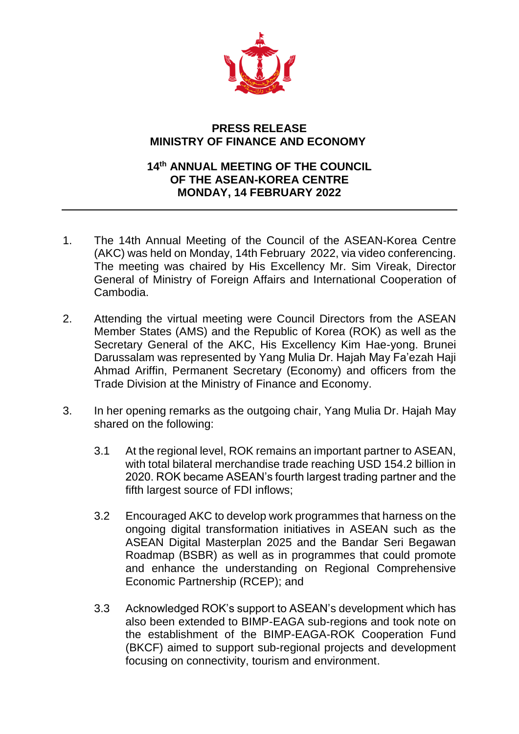

## **PRESS RELEASE MINISTRY OF FINANCE AND ECONOMY**

## **14 th ANNUAL MEETING OF THE COUNCIL OF THE ASEAN-KOREA CENTRE MONDAY, 14 FEBRUARY 2022**

- 1. The 14th Annual Meeting of the Council of the ASEAN-Korea Centre (AKC) was held on Monday, 14th February 2022, via video conferencing. The meeting was chaired by His Excellency Mr. Sim Vireak, Director General of Ministry of Foreign Affairs and International Cooperation of Cambodia.
- 2. Attending the virtual meeting were Council Directors from the ASEAN Member States (AMS) and the Republic of Korea (ROK) as well as the Secretary General of the AKC, His Excellency Kim Hae-yong. Brunei Darussalam was represented by Yang Mulia Dr. Hajah May Fa'ezah Haji Ahmad Ariffin, Permanent Secretary (Economy) and officers from the Trade Division at the Ministry of Finance and Economy.
- 3. In her opening remarks as the outgoing chair, Yang Mulia Dr. Hajah May shared on the following:
	- 3.1 At the regional level, ROK remains an important partner to ASEAN, with total bilateral merchandise trade reaching USD 154.2 billion in 2020. ROK became ASEAN's fourth largest trading partner and the fifth largest source of FDI inflows;
	- 3.2 Encouraged AKC to develop work programmes that harness on the ongoing digital transformation initiatives in ASEAN such as the ASEAN Digital Masterplan 2025 and the Bandar Seri Begawan Roadmap (BSBR) as well as in programmes that could promote and enhance the understanding on Regional Comprehensive Economic Partnership (RCEP); and
	- 3.3 Acknowledged ROK's support to ASEAN's development which has also been extended to BIMP-EAGA sub-regions and took note on the establishment of the BIMP-EAGA-ROK Cooperation Fund (BKCF) aimed to support sub-regional projects and development focusing on connectivity, tourism and environment.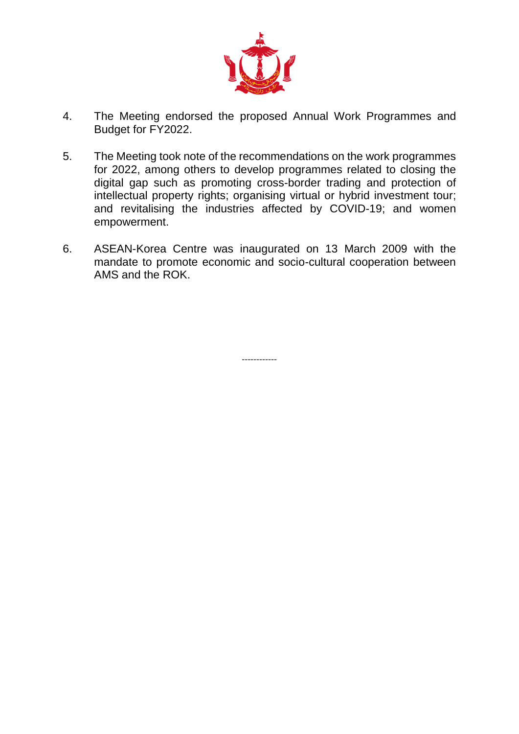

- 4. The Meeting endorsed the proposed Annual Work Programmes and Budget for FY2022.
- 5. The Meeting took note of the recommendations on the work programmes for 2022, among others to develop programmes related to closing the digital gap such as promoting cross-border trading and protection of intellectual property rights; organising virtual or hybrid investment tour; and revitalising the industries affected by COVID-19; and women empowerment.
- 6. ASEAN-Korea Centre was inaugurated on 13 March 2009 with the mandate to promote economic and socio-cultural cooperation between AMS and the ROK.

------------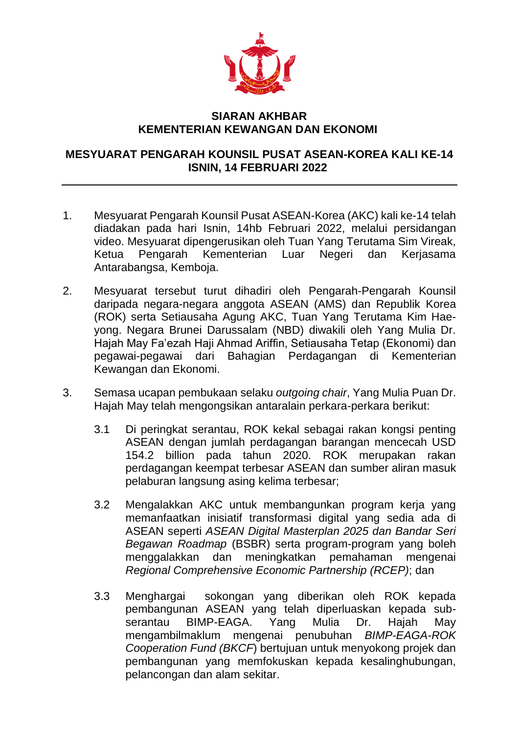

## **SIARAN AKHBAR KEMENTERIAN KEWANGAN DAN EKONOMI**

## **MESYUARAT PENGARAH KOUNSIL PUSAT ASEAN-KOREA KALI KE-14 ISNIN, 14 FEBRUARI 2022**

- 1. Mesyuarat Pengarah Kounsil Pusat ASEAN-Korea (AKC) kali ke-14 telah diadakan pada hari Isnin, 14hb Februari 2022, melalui persidangan video. Mesyuarat dipengerusikan oleh Tuan Yang Terutama Sim Vireak, Ketua Pengarah Kementerian Luar Negeri dan Kerjasama Antarabangsa, Kemboja.
- 2. Mesyuarat tersebut turut dihadiri oleh Pengarah-Pengarah Kounsil daripada negara-negara anggota ASEAN (AMS) dan Republik Korea (ROK) serta Setiausaha Agung AKC, Tuan Yang Terutama Kim Haeyong. Negara Brunei Darussalam (NBD) diwakili oleh Yang Mulia Dr. Hajah May Fa'ezah Haji Ahmad Ariffin, Setiausaha Tetap (Ekonomi) dan pegawai-pegawai dari Bahagian Perdagangan di Kementerian Kewangan dan Ekonomi.
- 3. Semasa ucapan pembukaan selaku *outgoing chair*, Yang Mulia Puan Dr. Hajah May telah mengongsikan antaralain perkara-perkara berikut:
	- 3.1 Di peringkat serantau, ROK kekal sebagai rakan kongsi penting ASEAN dengan jumlah perdagangan barangan mencecah USD 154.2 billion pada tahun 2020. ROK merupakan rakan perdagangan keempat terbesar ASEAN dan sumber aliran masuk pelaburan langsung asing kelima terbesar;
	- 3.2 Mengalakkan AKC untuk membangunkan program kerja yang memanfaatkan inisiatif transformasi digital yang sedia ada di ASEAN seperti *ASEAN Digital Masterplan 2025 dan Bandar Seri Begawan Roadmap* (BSBR) serta program-program yang boleh menggalakkan dan meningkatkan pemahaman mengenai *Regional Comprehensive Economic Partnership (RCEP)*; dan
	- 3.3 Menghargai sokongan yang diberikan oleh ROK kepada pembangunan ASEAN yang telah diperluaskan kepada subserantau BIMP-EAGA. Yang Mulia Dr. Hajah May mengambilmaklum mengenai penubuhan *BIMP-EAGA-ROK Cooperation Fund (BKCF*) bertujuan untuk menyokong projek dan pembangunan yang memfokuskan kepada kesalinghubungan, pelancongan dan alam sekitar.